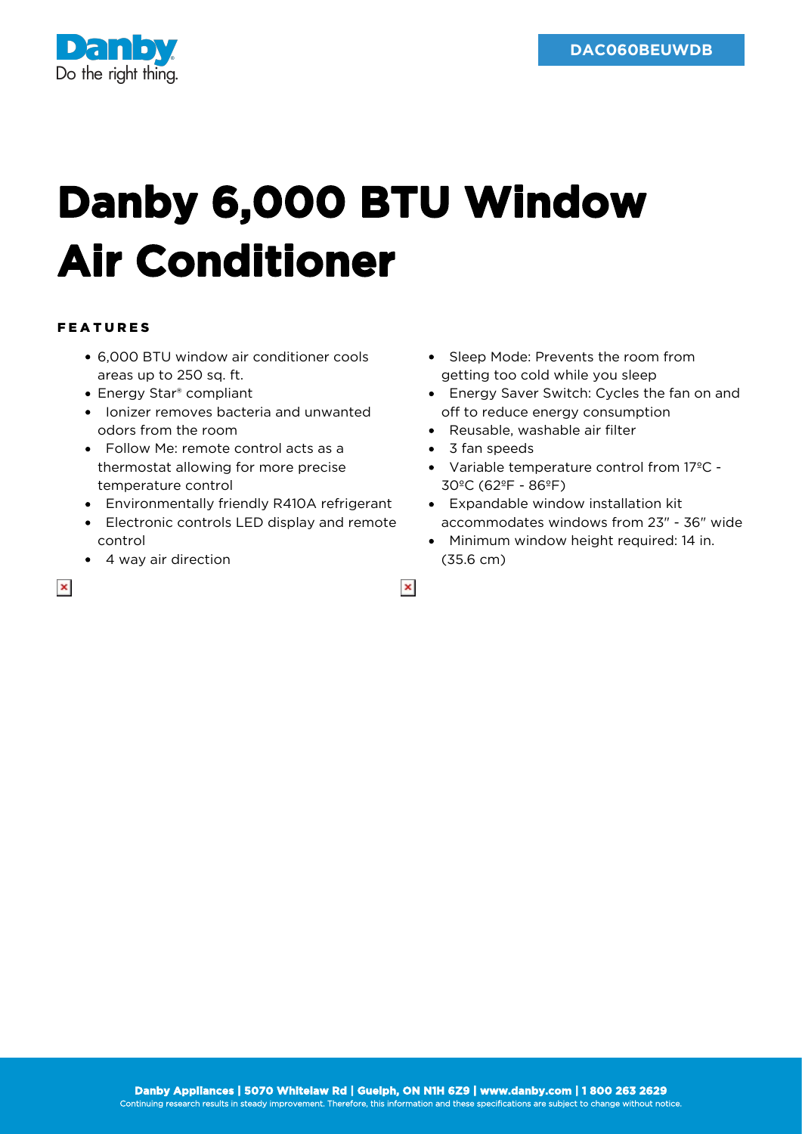

## **Danby 6,000 BTU Window Air Conditioner**

## FEATURES

- 6,000 BTU window air conditioner cools areas up to 250 sq. ft.
- Energy Star<sup>®</sup> compliant
- Ionizer removes bacteria and unwanted odors from the room
- Follow Me: remote control acts as a thermostat allowing for more precise temperature control
- Environmentally friendly R410A refrigerant
- Electronic controls LED display and remote control
- 4 way air direction
- Sleep Mode: Prevents the room from getting too cold while you sleep
- Energy Saver Switch: Cycles the fan on and off to reduce energy consumption
- Reusable, washable air filter
- 3 fan speeds

 $\pmb{\times}$ 

- Variable temperature control from 17ºC 30ºC (62ºF - 86ºF)
- Expandable window installation kit accommodates windows from 23" - 36" wide
- Minimum window height required: 14 in. (35.6 cm)

 $\pmb{\times}$